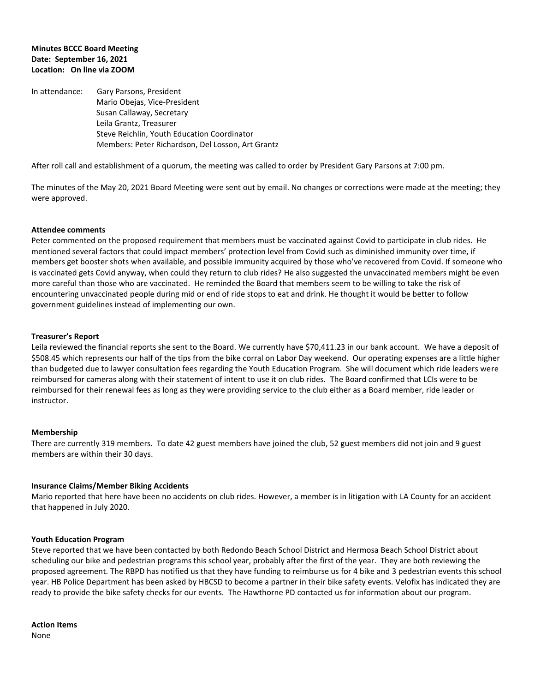### **Minutes BCCC Board Meeting Date: September 16, 2021 Location: On line via ZOOM**

In attendance: Gary Parsons, President Mario Obejas, Vice-President Susan Callaway, Secretary Leila Grantz, Treasurer Steve Reichlin, Youth Education Coordinator Members: Peter Richardson, Del Losson, Art Grantz

After roll call and establishment of a quorum, the meeting was called to order by President Gary Parsons at 7:00 pm.

The minutes of the May 20, 2021 Board Meeting were sent out by email. No changes or corrections were made at the meeting; they were approved.

### **Attendee comments**

Peter commented on the proposed requirement that members must be vaccinated against Covid to participate in club rides. He mentioned several factors that could impact members' protection level from Covid such as diminished immunity over time, if members get booster shots when available, and possible immunity acquired by those who've recovered from Covid. If someone who is vaccinated gets Covid anyway, when could they return to club rides? He also suggested the unvaccinated members might be even more careful than those who are vaccinated. He reminded the Board that members seem to be willing to take the risk of encountering unvaccinated people during mid or end of ride stops to eat and drink. He thought it would be better to follow government guidelines instead of implementing our own.

### **Treasurer's Report**

Leila reviewed the financial reports she sent to the Board. We currently have \$70,411.23 in our bank account. We have a deposit of \$508.45 which represents our half of the tips from the bike corral on Labor Day weekend. Our operating expenses are a little higher than budgeted due to lawyer consultation fees regarding the Youth Education Program. She will document which ride leaders were reimbursed for cameras along with their statement of intent to use it on club rides. The Board confirmed that LCIs were to be reimbursed for their renewal fees as long as they were providing service to the club either as a Board member, ride leader or instructor.

### **Membership**

There are currently 319 members. To date 42 guest members have joined the club, 52 guest members did not join and 9 guest members are within their 30 days.

### **Insurance Claims/Member Biking Accidents**

Mario reported that here have been no accidents on club rides. However, a member is in litigation with LA County for an accident that happened in July 2020.

### **Youth Education Program**

Steve reported that we have been contacted by both Redondo Beach School District and Hermosa Beach School District about scheduling our bike and pedestrian programs this school year, probably after the first of the year. They are both reviewing the proposed agreement. The RBPD has notified us that they have funding to reimburse us for 4 bike and 3 pedestrian events this school year. HB Police Department has been asked by HBCSD to become a partner in their bike safety events. Velofix has indicated they are ready to provide the bike safety checks for our events. The Hawthorne PD contacted us for information about our program.

**Action Items** None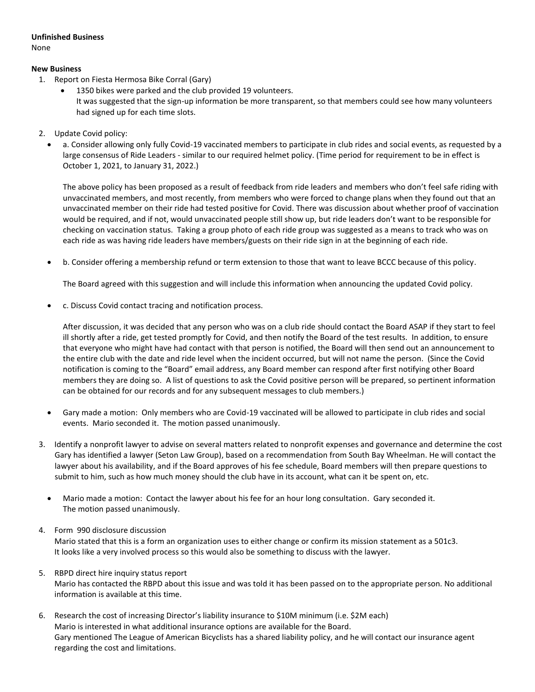# **Unfinished Business**

None

# **New Business**

- 1. Report on Fiesta Hermosa Bike Corral (Gary)
	- 1350 bikes were parked and the club provided 19 volunteers. It was suggested that the sign-up information be more transparent, so that members could see how many volunteers had signed up for each time slots.
- 2. Update Covid policy:
	- a. Consider allowing only fully Covid-19 vaccinated members to participate in club rides and social events, as requested by a large consensus of Ride Leaders - similar to our required helmet policy. (Time period for requirement to be in effect is October 1, 2021, to January 31, 2022.)

The above policy has been proposed as a result of feedback from ride leaders and members who don't feel safe riding with unvaccinated members, and most recently, from members who were forced to change plans when they found out that an unvaccinated member on their ride had tested positive for Covid. There was discussion about whether proof of vaccination would be required, and if not, would unvaccinated people still show up, but ride leaders don't want to be responsible for checking on vaccination status. Taking a group photo of each ride group was suggested as a means to track who was on each ride as was having ride leaders have members/guests on their ride sign in at the beginning of each ride.

b. Consider offering a membership refund or term extension to those that want to leave BCCC because of this policy.

The Board agreed with this suggestion and will include this information when announcing the updated Covid policy.

c. Discuss Covid contact tracing and notification process.

After discussion, it was decided that any person who was on a club ride should contact the Board ASAP if they start to feel ill shortly after a ride, get tested promptly for Covid, and then notify the Board of the test results. In addition, to ensure that everyone who might have had contact with that person is notified, the Board will then send out an announcement to the entire club with the date and ride level when the incident occurred, but will not name the person. (Since the Covid notification is coming to the "Board" email address, any Board member can respond after first notifying other Board members they are doing so. A list of questions to ask the Covid positive person will be prepared, so pertinent information can be obtained for our records and for any subsequent messages to club members.)

- Gary made a motion: Only members who are Covid-19 vaccinated will be allowed to participate in club rides and social events. Mario seconded it. The motion passed unanimously.
- 3. Identify a nonprofit lawyer to advise on several matters related to nonprofit expenses and governance and determine the cost Gary has identified a lawyer (Seton Law Group), based on a recommendation from South Bay Wheelman. He will contact the lawyer about his availability, and if the Board approves of his fee schedule, Board members will then prepare questions to submit to him, such as how much money should the club have in its account, what can it be spent on, etc.
	- Mario made a motion: Contact the lawyer about his fee for an hour long consultation. Gary seconded it. The motion passed unanimously.

# 4. Form 990 disclosure discussion

Mario stated that this is a form an organization uses to either change or confirm its mission statement as a 501c3. It looks like a very involved process so this would also be something to discuss with the lawyer.

- 5. RBPD direct hire inquiry status report Mario has contacted the RBPD about this issue and was told it has been passed on to the appropriate person. No additional information is available at this time.
- 6. Research the cost of increasing Director's liability insurance to \$10M minimum (i.e. \$2M each) Mario is interested in what additional insurance options are available for the Board. Gary mentioned The League of American Bicyclists has a shared liability policy, and he will contact our insurance agent regarding the cost and limitations.